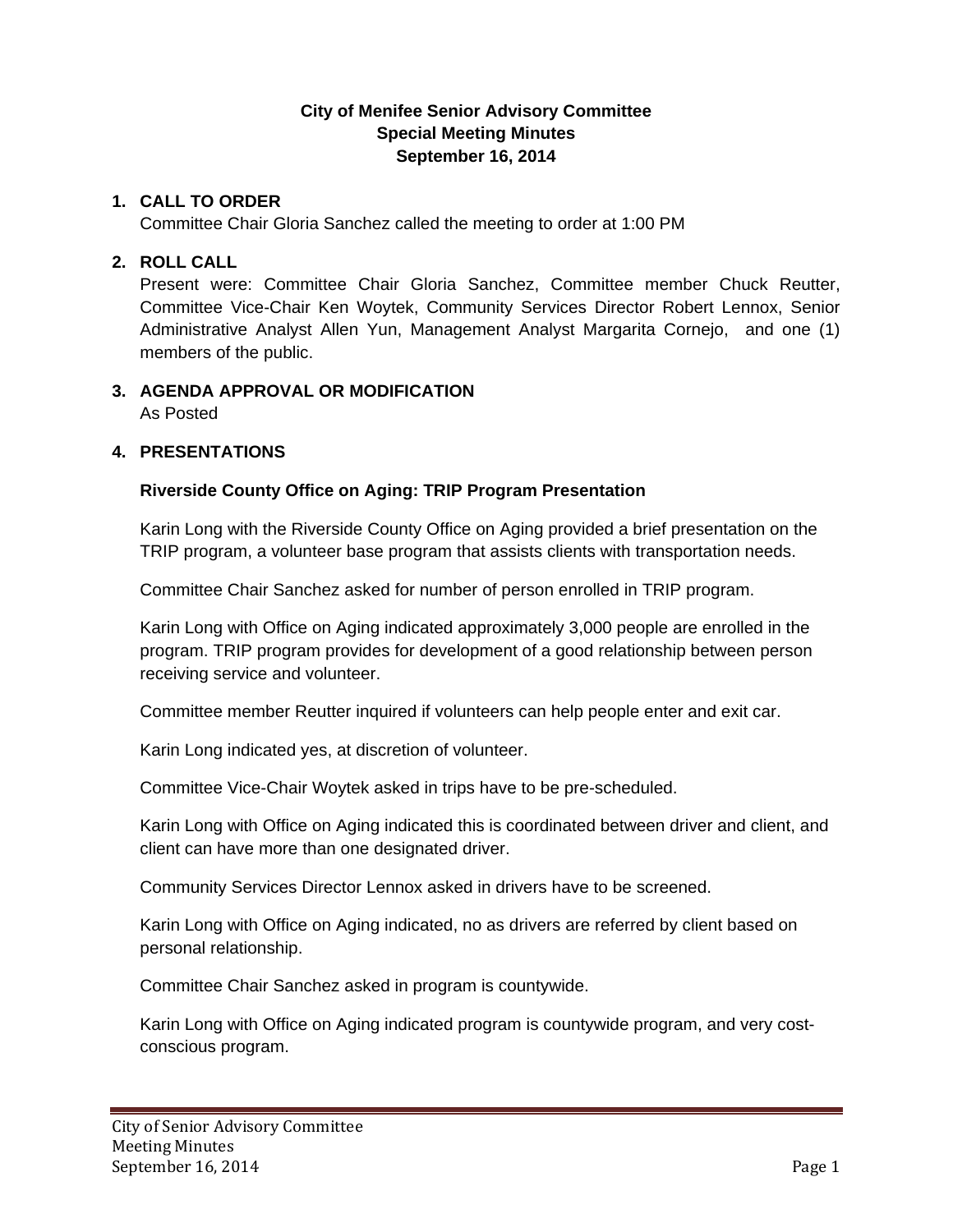# **City of Menifee Senior Advisory Committee Special Meeting Minutes September 16, 2014**

### **1. CALL TO ORDER**

Committee Chair Gloria Sanchez called the meeting to order at 1:00 PM

#### **2. ROLL CALL**

Present were: Committee Chair Gloria Sanchez, Committee member Chuck Reutter, Committee Vice-Chair Ken Woytek, Community Services Director Robert Lennox, Senior Administrative Analyst Allen Yun, Management Analyst Margarita Cornejo, and one (1) members of the public.

# **3. AGENDA APPROVAL OR MODIFICATION**

As Posted

#### **4. PRESENTATIONS**

# **Riverside County Office on Aging: TRIP Program Presentation**

Karin Long with the Riverside County Office on Aging provided a brief presentation on the TRIP program, a volunteer base program that assists clients with transportation needs.

Committee Chair Sanchez asked for number of person enrolled in TRIP program.

Karin Long with Office on Aging indicated approximately 3,000 people are enrolled in the program. TRIP program provides for development of a good relationship between person receiving service and volunteer.

Committee member Reutter inquired if volunteers can help people enter and exit car.

Karin Long indicated yes, at discretion of volunteer.

Committee Vice-Chair Woytek asked in trips have to be pre-scheduled.

Karin Long with Office on Aging indicated this is coordinated between driver and client, and client can have more than one designated driver.

Community Services Director Lennox asked in drivers have to be screened.

Karin Long with Office on Aging indicated, no as drivers are referred by client based on personal relationship.

Committee Chair Sanchez asked in program is countywide.

Karin Long with Office on Aging indicated program is countywide program, and very costconscious program.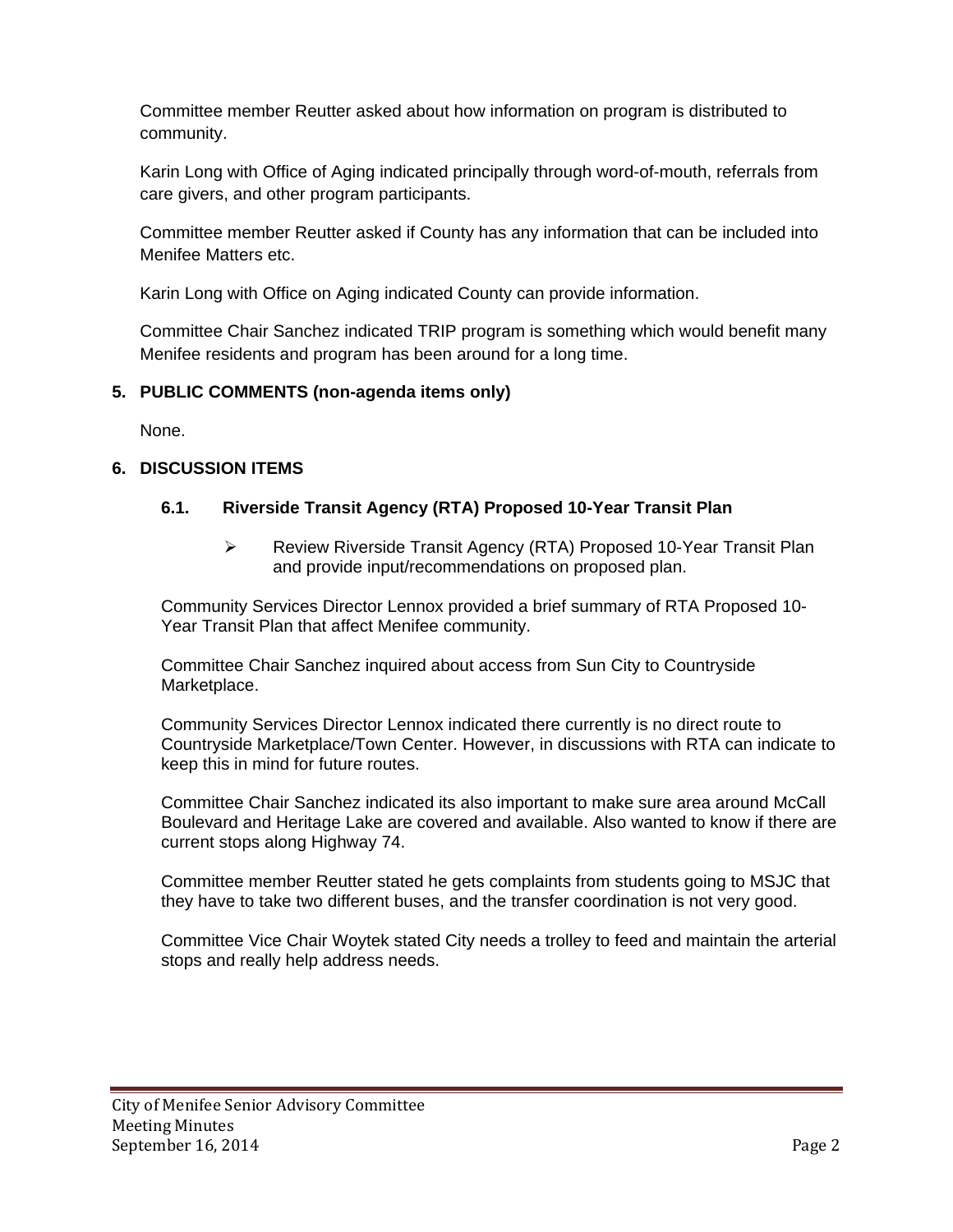Committee member Reutter asked about how information on program is distributed to community.

Karin Long with Office of Aging indicated principally through word-of-mouth, referrals from care givers, and other program participants.

Committee member Reutter asked if County has any information that can be included into Menifee Matters etc.

Karin Long with Office on Aging indicated County can provide information.

Committee Chair Sanchez indicated TRIP program is something which would benefit many Menifee residents and program has been around for a long time.

# **5. PUBLIC COMMENTS (non-agenda items only)**

None.

# **6. DISCUSSION ITEMS**

# **6.1. Riverside Transit Agency (RTA) Proposed 10-Year Transit Plan**

 Review Riverside Transit Agency (RTA) Proposed 10-Year Transit Plan and provide input/recommendations on proposed plan.

Community Services Director Lennox provided a brief summary of RTA Proposed 10- Year Transit Plan that affect Menifee community.

Committee Chair Sanchez inquired about access from Sun City to Countryside Marketplace.

Community Services Director Lennox indicated there currently is no direct route to Countryside Marketplace/Town Center. However, in discussions with RTA can indicate to keep this in mind for future routes.

Committee Chair Sanchez indicated its also important to make sure area around McCall Boulevard and Heritage Lake are covered and available. Also wanted to know if there are current stops along Highway 74.

Committee member Reutter stated he gets complaints from students going to MSJC that they have to take two different buses, and the transfer coordination is not very good.

Committee Vice Chair Woytek stated City needs a trolley to feed and maintain the arterial stops and really help address needs.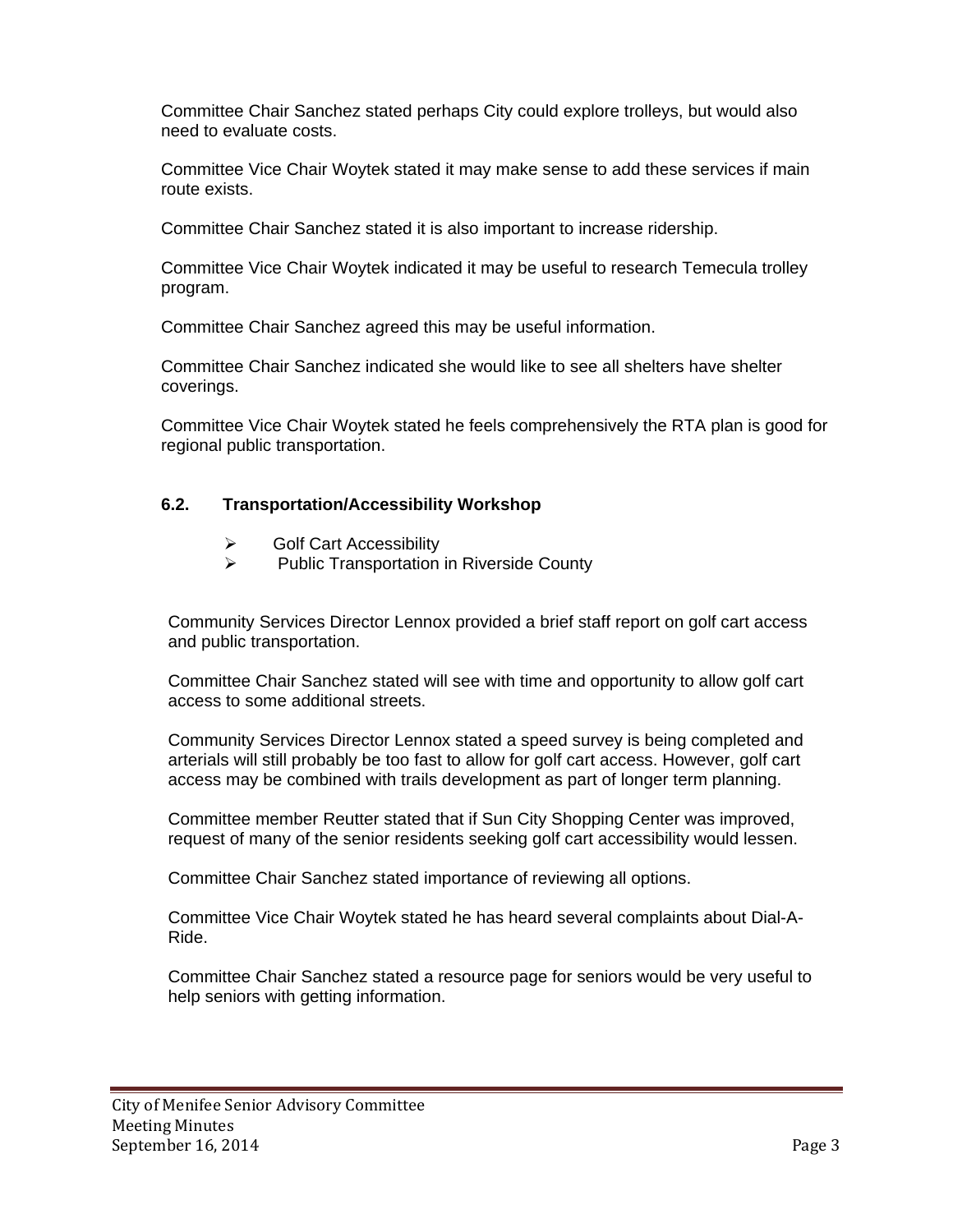Committee Chair Sanchez stated perhaps City could explore trolleys, but would also need to evaluate costs.

Committee Vice Chair Woytek stated it may make sense to add these services if main route exists.

Committee Chair Sanchez stated it is also important to increase ridership.

Committee Vice Chair Woytek indicated it may be useful to research Temecula trolley program.

Committee Chair Sanchez agreed this may be useful information.

Committee Chair Sanchez indicated she would like to see all shelters have shelter coverings.

Committee Vice Chair Woytek stated he feels comprehensively the RTA plan is good for regional public transportation.

# **6.2. Transportation/Accessibility Workshop**

- $\triangleright$  Golf Cart Accessibility
- $\triangleright$  Public Transportation in Riverside County

Community Services Director Lennox provided a brief staff report on golf cart access and public transportation.

Committee Chair Sanchez stated will see with time and opportunity to allow golf cart access to some additional streets.

Community Services Director Lennox stated a speed survey is being completed and arterials will still probably be too fast to allow for golf cart access. However, golf cart access may be combined with trails development as part of longer term planning.

Committee member Reutter stated that if Sun City Shopping Center was improved, request of many of the senior residents seeking golf cart accessibility would lessen.

Committee Chair Sanchez stated importance of reviewing all options.

Committee Vice Chair Woytek stated he has heard several complaints about Dial-A-Ride.

Committee Chair Sanchez stated a resource page for seniors would be very useful to help seniors with getting information.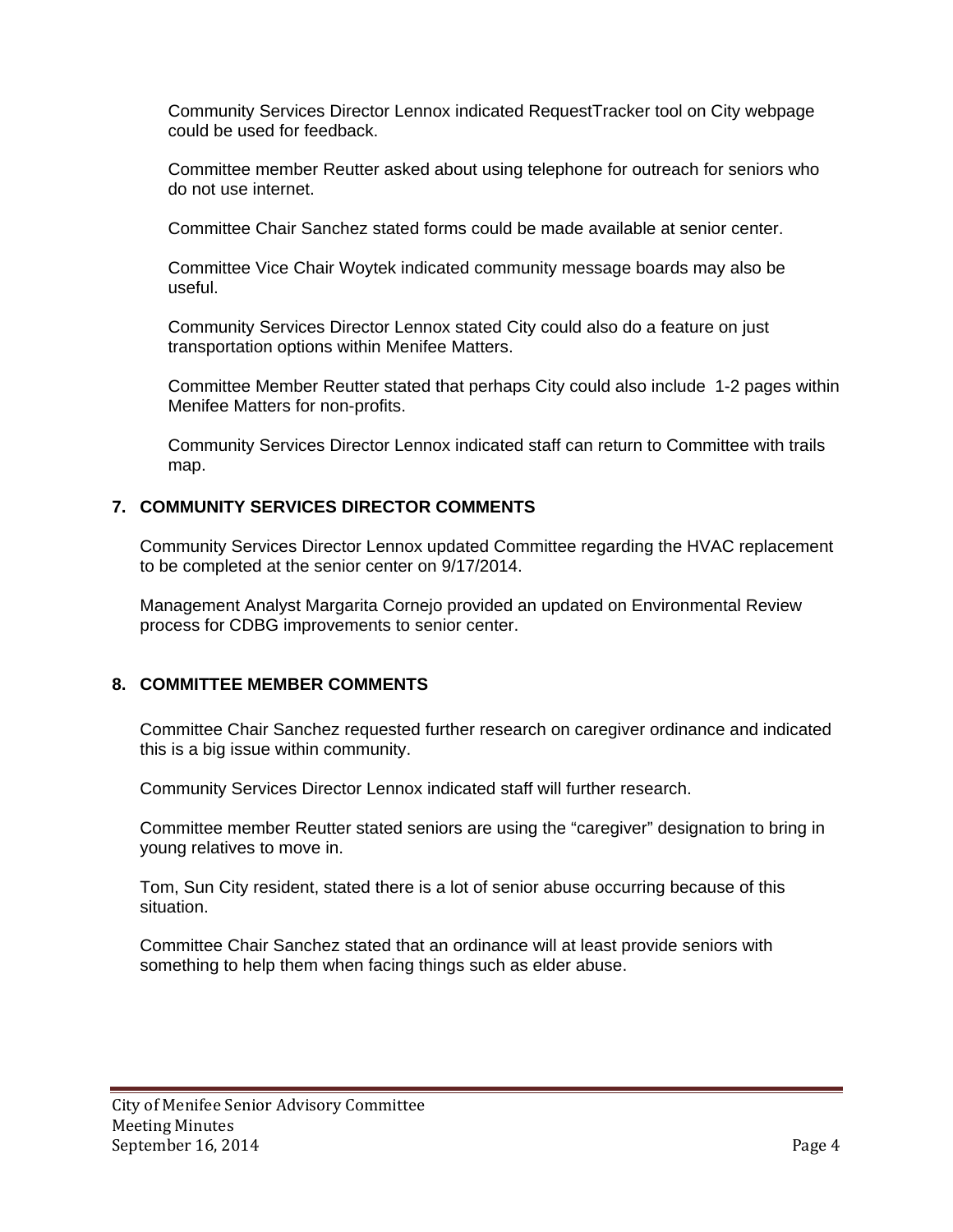Community Services Director Lennox indicated RequestTracker tool on City webpage could be used for feedback.

Committee member Reutter asked about using telephone for outreach for seniors who do not use internet.

Committee Chair Sanchez stated forms could be made available at senior center.

Committee Vice Chair Woytek indicated community message boards may also be useful.

Community Services Director Lennox stated City could also do a feature on just transportation options within Menifee Matters.

Committee Member Reutter stated that perhaps City could also include 1-2 pages within Menifee Matters for non-profits.

Community Services Director Lennox indicated staff can return to Committee with trails map.

#### **7. COMMUNITY SERVICES DIRECTOR COMMENTS**

Community Services Director Lennox updated Committee regarding the HVAC replacement to be completed at the senior center on 9/17/2014.

Management Analyst Margarita Cornejo provided an updated on Environmental Review process for CDBG improvements to senior center.

#### **8. COMMITTEE MEMBER COMMENTS**

Committee Chair Sanchez requested further research on caregiver ordinance and indicated this is a big issue within community.

Community Services Director Lennox indicated staff will further research.

Committee member Reutter stated seniors are using the "caregiver" designation to bring in young relatives to move in.

Tom, Sun City resident, stated there is a lot of senior abuse occurring because of this situation.

Committee Chair Sanchez stated that an ordinance will at least provide seniors with something to help them when facing things such as elder abuse.